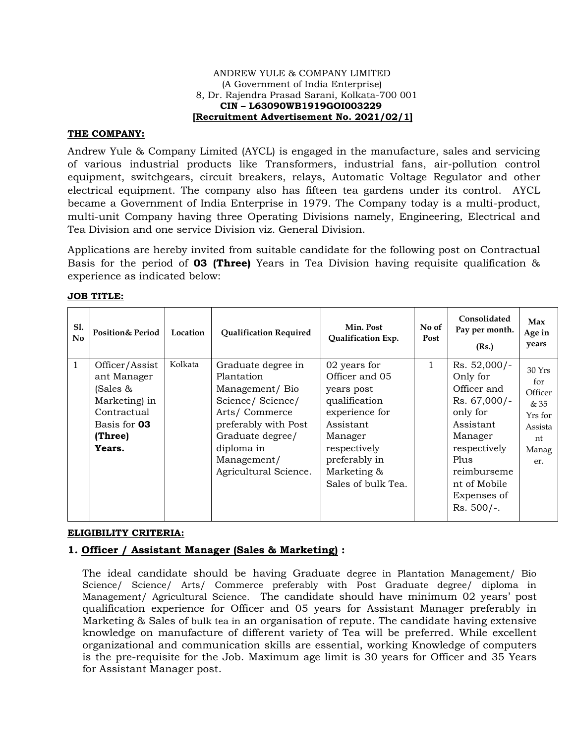#### ANDREW YULE & COMPANY LIMITED (A Government of India Enterprise) 8, Dr. Rajendra Prasad Sarani, Kolkata-700 001  **CIN – L63090WB1919GOI003229 [Recruitment Advertisement No. 2021/02/1]**

## **THE COMPANY:**

Andrew Yule & Company Limited (AYCL) is engaged in the manufacture, sales and servicing of various industrial products like Transformers, industrial fans, air-pollution control equipment, switchgears, circuit breakers, relays, Automatic Voltage Regulator and other electrical equipment. The company also has fifteen tea gardens under its control. AYCL became a Government of India Enterprise in 1979. The Company today is a multi-product, multi-unit Company having three Operating Divisions namely, Engineering, Electrical and Tea Division and one service Division viz. General Division.

Applications are hereby invited from suitable candidate for the following post on Contractual Basis for the period of **03 (Three)** Years in Tea Division having requisite qualification & experience as indicated below:

| Sl.<br>No | <b>Position&amp; Period</b>                                                                                    | Location | <b>Qualification Required</b>                                                                                                                                                             | Min. Post<br>Qualification Exp.                                                                                                                                               | No of<br>Post | Consolidated<br>Pay per month.<br>(Rs.)                                                                                                                                           | Max<br>Age in<br>years                                                      |
|-----------|----------------------------------------------------------------------------------------------------------------|----------|-------------------------------------------------------------------------------------------------------------------------------------------------------------------------------------------|-------------------------------------------------------------------------------------------------------------------------------------------------------------------------------|---------------|-----------------------------------------------------------------------------------------------------------------------------------------------------------------------------------|-----------------------------------------------------------------------------|
| 1         | Officer/Assist<br>ant Manager<br>(Sales &<br>Marketing) in<br>Contractual<br>Basis for 03<br>(Three)<br>Years. | Kolkata  | Graduate degree in<br>Plantation<br>Management/Bio<br>Science/Science/<br>Arts/Commerce<br>preferably with Post<br>Graduate degree/<br>diploma in<br>Management/<br>Agricultural Science. | 02 years for<br>Officer and 05<br>years post<br>qualification<br>experience for<br>Assistant<br>Manager<br>respectively<br>preferably in<br>Marketing &<br>Sales of bulk Tea. | $\mathbf 1$   | Rs. 52,000/-<br>Only for<br>Officer and<br>Rs. 67,000/-<br>only for<br>Assistant<br>Manager<br>respectively<br>Plus<br>reimburseme<br>nt of Mobile<br>Expenses of<br>$Rs. 500/-.$ | 30Yrs<br>for<br>Officer<br>& 35<br>Yrs for<br>Assista<br>nt<br>Manag<br>er. |

#### **JOB TITLE:**

## **ELIGIBILITY CRITERIA:**

# **1. Officer / Assistant Manager (Sales & Marketing) :**

The ideal candidate should be having Graduate degree in Plantation Management/ Bio Science/ Science/ Arts/ Commerce preferably with Post Graduate degree/ diploma in Management/ Agricultural Science. The candidate should have minimum 02 years' post qualification experience for Officer and 05 years for Assistant Manager preferably in Marketing & Sales of bulk tea in an organisation of repute. The candidate having extensive knowledge on manufacture of different variety of Tea will be preferred. While excellent organizational and communication skills are essential, working Knowledge of computers is the pre-requisite for the Job. Maximum age limit is 30 years for Officer and 35 Years for Assistant Manager post.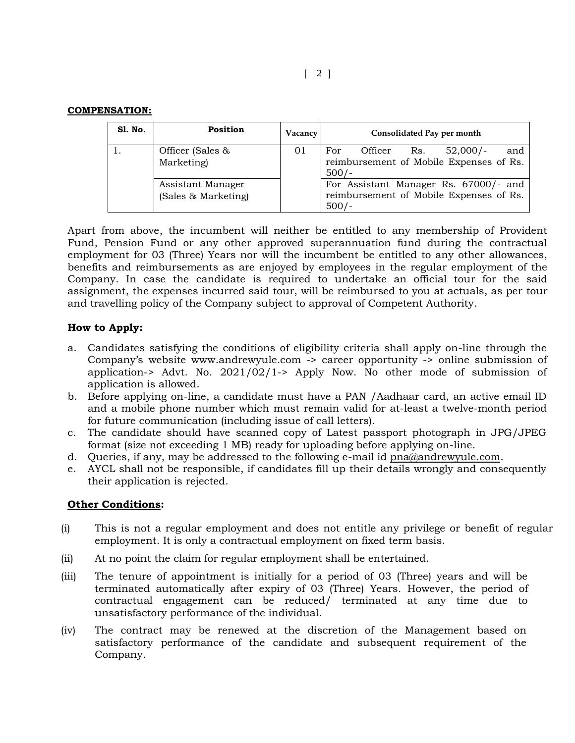### **COMPENSATION:**

| <b>S1. No.</b> | <b>Position</b>                          | Vacancy | Consolidated Pay per month                                                                       |
|----------------|------------------------------------------|---------|--------------------------------------------------------------------------------------------------|
|                | Officer (Sales &<br>Marketing)           | 01      | and<br>Officer<br>$52,000/-$<br>For<br>Rs.<br>reimbursement of Mobile Expenses of Rs.<br>$500/-$ |
|                | Assistant Manager<br>(Sales & Marketing) |         | For Assistant Manager Rs. 67000/- and<br>reimbursement of Mobile Expenses of Rs.<br>$500/-$      |

Apart from above, the incumbent will neither be entitled to any membership of Provident Fund, Pension Fund or any other approved superannuation fund during the contractual employment for 03 (Three) Years nor will the incumbent be entitled to any other allowances, benefits and reimbursements as are enjoyed by employees in the regular employment of the Company. In case the candidate is required to undertake an official tour for the said assignment, the expenses incurred said tour, will be reimbursed to you at actuals, as per tour and travelling policy of the Company subject to approval of Competent Authority.

# **How to Apply:**

- a. Candidates satisfying the conditions of eligibility criteria shall apply on-line through the Company's website www.andrewyule.com -> career opportunity -> online submission of application-> Advt. No. 2021/02/1-> Apply Now. No other mode of submission of application is allowed.
- b. Before applying on-line, a candidate must have a PAN /Aadhaar card, an active email ID and a mobile phone number which must remain valid for at-least a twelve-month period for future communication (including issue of call letters).
- c. The candidate should have scanned copy of Latest passport photograph in JPG/JPEG format (size not exceeding 1 MB) ready for uploading before applying on-line.
- d. Queries, if any, may be addressed to the following e-mail id [pna@andrewyule.com.](mailto:pna@andrewyule.com)
- e. AYCL shall not be responsible, if candidates fill up their details wrongly and consequently their application is rejected.

## **Other Conditions:**

- (i) This is not a regular employment and does not entitle any privilege or benefit of regular employment. It is only a contractual employment on fixed term basis.
- (ii) At no point the claim for regular employment shall be entertained.
- (iii) The tenure of appointment is initially for a period of 03 (Three) years and will be terminated automatically after expiry of 03 (Three) Years. However, the period of contractual engagement can be reduced/ terminated at any time due to unsatisfactory performance of the individual.
- (iv) The contract may be renewed at the discretion of the Management based on satisfactory performance of the candidate and subsequent requirement of the Company.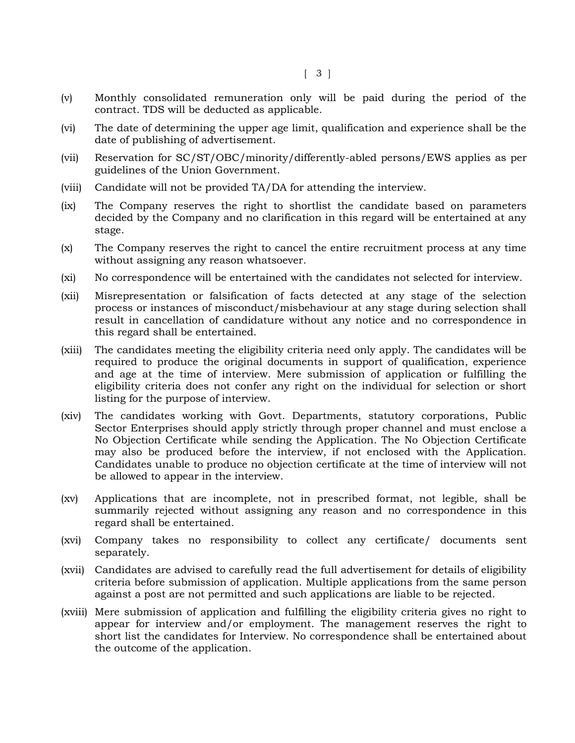- (v) Monthly consolidated remuneration only will be paid during the period of the contract. TDS will be deducted as applicable.
- (vi) The date of determining the upper age limit, qualification and experience shall be the date of publishing of advertisement.
- (vii) Reservation for SC/ST/OBC/minority/differently-abled persons/EWS applies as per guidelines of the Union Government.
- (viii) Candidate will not be provided TA/DA for attending the interview.
- (ix) The Company reserves the right to shortlist the candidate based on parameters decided by the Company and no clarification in this regard will be entertained at any stage.
- (x) The Company reserves the right to cancel the entire recruitment process at any time without assigning any reason whatsoever.
- (xi) No correspondence will be entertained with the candidates not selected for interview.
- (xii) Misrepresentation or falsification of facts detected at any stage of the selection process or instances of misconduct/misbehaviour at any stage during selection shall result in cancellation of candidature without any notice and no correspondence in this regard shall be entertained.
- (xiii) The candidates meeting the eligibility criteria need only apply. The candidates will be required to produce the original documents in support of qualification, experience and age at the time of interview. Mere submission of application or fulfilling the eligibility criteria does not confer any right on the individual for selection or short listing for the purpose of interview.
- (xiv) The candidates working with Govt. Departments, statutory corporations, Public Sector Enterprises should apply strictly through proper channel and must enclose a No Objection Certificate while sending the Application. The No Objection Certificate may also be produced before the interview, if not enclosed with the Application. Candidates unable to produce no objection certificate at the time of interview will not be allowed to appear in the interview.
- (xv) Applications that are incomplete, not in prescribed format, not legible, shall be summarily rejected without assigning any reason and no correspondence in this regard shall be entertained.
- (xvi) Company takes no responsibility to collect any certificate/ documents sent separately.
- (xvii) Candidates are advised to carefully read the full advertisement for details of eligibility criteria before submission of application. Multiple applications from the same person against a post are not permitted and such applications are liable to be rejected.
- (xviii) Mere submission of application and fulfilling the eligibility criteria gives no right to appear for interview and/or employment. The management reserves the right to short list the candidates for Interview. No correspondence shall be entertained about the outcome of the application.